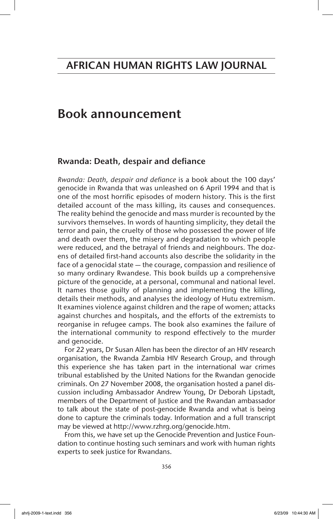## Book announcement

## Rwanda: Death, despair and defiance

*Rwanda: Death, despair and defiance* is a book about the 100 days' genocide in Rwanda that was unleashed on 6 April 1994 and that is one of the most horrific episodes of modern history. This is the first detailed account of the mass killing, its causes and consequences. The reality behind the genocide and mass murder is recounted by the survivors themselves. In words of haunting simplicity, they detail the terror and pain, the cruelty of those who possessed the power of life and death over them, the misery and degradation to which people were reduced, and the betrayal of friends and neighbours. The dozens of detailed first-hand accounts also describe the solidarity in the face of a genocidal state — the courage, compassion and resilience of so many ordinary Rwandese. This book builds up a comprehensive picture of the genocide, at a personal, communal and national level. It names those guilty of planning and implementing the killing, details their methods, and analyses the ideology of Hutu extremism. It examines violence against children and the rape of women; attacks against churches and hospitals, and the efforts of the extremists to reorganise in refugee camps. The book also examines the failure of the international community to respond effectively to the murder and genocide.

For 22 years, Dr Susan Allen has been the director of an HIV research organisation, the Rwanda Zambia HIV Research Group, and through this experience she has taken part in the international war crimes tribunal established by the United Nations for the Rwandan genocide criminals. On 27 November 2008, the organisation hosted a panel discussion including Ambassador Andrew Young, Dr Deborah Lipstadt, members of the Department of Justice and the Rwandan ambassador to talk about the state of post-genocide Rwanda and what is being done to capture the criminals today. Information and a full transcript may be viewed at http://www.rzhrg.org/genocide.htm.

From this, we have set up the Genocide Prevention and Justice Foundation to continue hosting such seminars and work with human rights experts to seek justice for Rwandans.